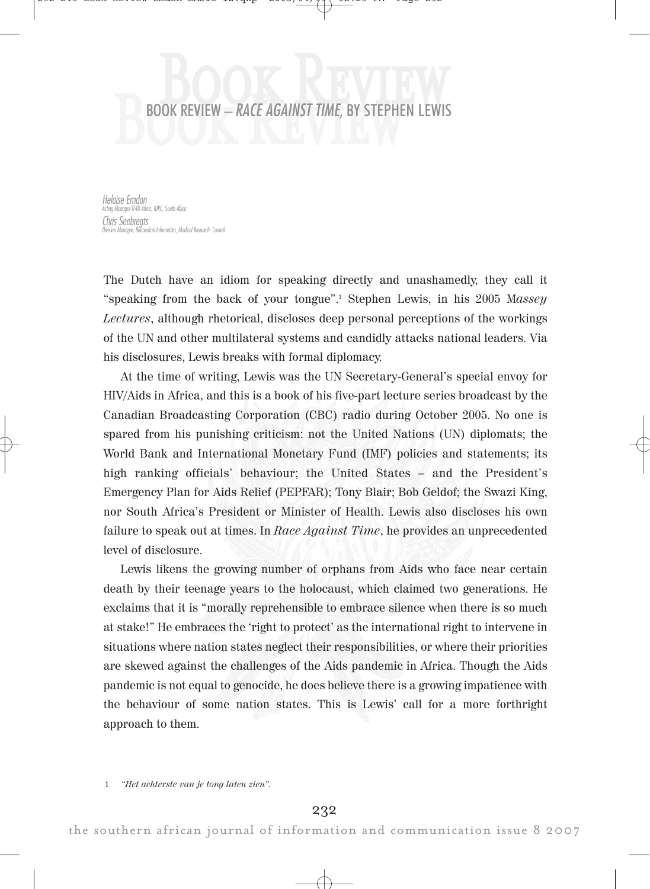## BOOK REVIEW – RACE AGAINST TIME, BY STEPHE B **BOOK REVIEW – RACE AGAINST TIME, BY STEPHEN LEWIS** o k R e v i e w

Heloise Emdon Acting Manager IT4D Africa, IDRC, South Africa Chris Seebregts .<br>Iedical Informatics, Medical Research Council

The Dutch have an idiom for speaking directly and unashamedly, they call it "speaking from the back of your tongue".<sup>1</sup> Stephen Lewis, in his 2005 Massey Lectures, although rhetorical, discloses deep personal perceptions of the workings of the UN and other multilateral systems and candidly attacks national leaders. Via his disclosures, Lewis breaks with formal diplomacy.

At the time of writing, Lewis was the UN Secretary-General's special envoy for HIV/Aids in Africa, and this is a book of his five-part lecture series broadcast by the Canadian Broadcasting Corporation (CBC) radio during October 2005. No one is spared from his punishing criticism: not the United Nations (UN) diplomats; the World Bank and International Monetary Fund (IMF) policies and statements; its high ranking officials' behaviour; the United States – and the President's Emergency Plan for Aids Relief (PEPFAR); Tony Blair; Bob Geldof; the Swazi King, nor South Africa's President or Minister of Health. Lewis also discloses his own failure to speak out at times. In Race Against Time, he provides an unprecedented level of disclosure.

Lewis likens the growing number of orphans from Aids who face near certain death by their teenage years to the holocaust, which claimed two generations. He exclaims that it is "morally reprehensible to embrace silence when there is so much at stake!" He embraces the 'right to protect' as the international right to intervene in situations where nation states neglect their responsibilities, or where their priorities are skewed against the challenges of the Aids pandemic in Africa. Though the Aids pandemic is not equal to genocide, he does believe there is a growing impatience with the behaviour of some nation states. This is Lewis' call for a more forthright approach to them.

1 "Het achterste van je tong laten zien".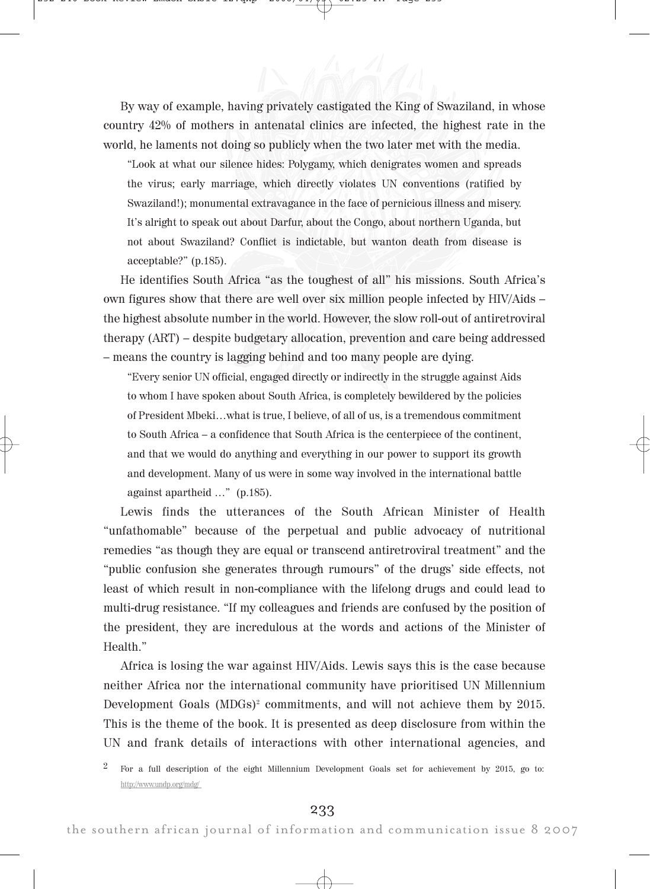By way of example, having privately castigated the King of Swaziland, in whose country 42% of mothers in antenatal clinics are infected, the highest rate in the world, he laments not doing so publicly when the two later met with the media.

"Look at what our silence hides: Polygamy, which denigrates women and spreads the virus; early marriage, which directly violates UN conventions (ratified by Swaziland!); monumental extravagance in the face of pernicious illness and misery. It's alright to speak out about Darfur, about the Congo, about northern Uganda, but not about Swaziland? Conflict is indictable, but wanton death from disease is acceptable?" (p.185).

He identifies South Africa "as the toughest of all" his missions. South Africa's own figures show that there are well over six million people infected by HIV/Aids – the highest absolute number in the world. However, the slow roll-out of antiretroviral therapy (ART) – despite budgetary allocation, prevention and care being addressed – means the country is lagging behind and too many people are dying.

"Every senior UN official, engaged directly or indirectly in the struggle against Aids to whom I have spoken about South Africa, is completely bewildered by the policies of President Mbeki…what is true, I believe, of all of us, is a tremendous commitment to South Africa – a confidence that South Africa is the centerpiece of the continent, and that we would do anything and everything in our power to support its growth and development. Many of us were in some way involved in the international battle against apartheid …" (p.185).

Lewis finds the utterances of the South African Minister of Health "unfathomable" because of the perpetual and public advocacy of nutritional remedies "as though they are equal or transcend antiretroviral treatment" and the "public confusion she generates through rumours" of the drugs' side effects, not least of which result in non-compliance with the lifelong drugs and could lead to multi-drug resistance. "If my colleagues and friends are confused by the position of the president, they are incredulous at the words and actions of the Minister of Health."

Africa is losing the war against HIV/Aids. Lewis says this is the case because neither Africa nor the international community have prioritised UN Millennium Development Goals  $(MDGs)^2$  commitments, and will not achieve them by 2015. This is the theme of the book. It is presented as deep disclosure from within the UN and frank details of interactions with other international agencies, and

<sup>&</sup>lt;sup>2</sup> For a full description of the eight Millennium Development Goals set for achievement by 2015, go to: http://www.undp.org/mdg/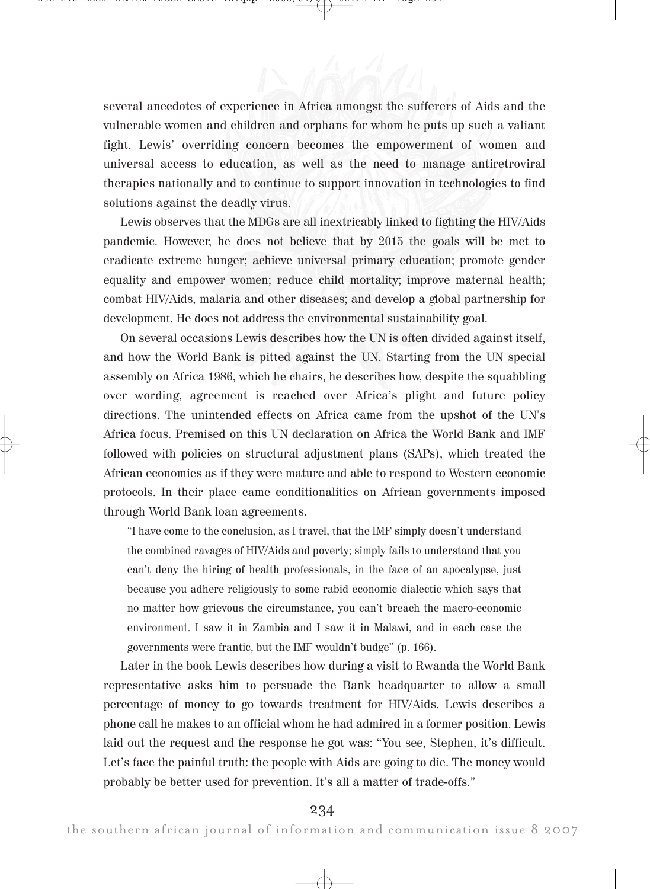several anecdotes of experience in Africa amongst the sufferers of Aids and the vulnerable women and children and orphans for whom he puts up such a valiant fight. Lewis' overriding concern becomes the empowerment of women and universal access to education, as well as the need to manage antiretroviral therapies nationally and to continue to support innovation in technologies to find solutions against the deadly virus.

Lewis observes that the MDGs are all inextricably linked to fighting the HIV/Aids pandemic. However, he does not believe that by 2015 the goals will be met to eradicate extreme hunger; achieve universal primary education; promote gender equality and empower women; reduce child mortality; improve maternal health; combat HIV/Aids, malaria and other diseases; and develop a global partnership for development. He does not address the environmental sustainability goal.

On several occasions Lewis describes how the UN is often divided against itself, and how the World Bank is pitted against the UN. Starting from the UN special assembly on Africa 1986, which he chairs, he describes how, despite the squabbling over wording, agreement is reached over Africa's plight and future policy directions. The unintended effects on Africa came from the upshot of the UN's Africa focus. Premised on this UN declaration on Africa the World Bank and IMF followed with policies on structural adjustment plans (SAPs), which treated the African economies as if they were mature and able to respond to Western economic protocols. In their place came conditionalities on African governments imposed through World Bank loan agreements.

"I have come to the conclusion, as I travel, that the IMF simply doesn't understand the combined ravages of HIV/Aids and poverty; simply fails to understand that you can't deny the hiring of health professionals, in the face of an apocalypse, just because you adhere religiously to some rabid economic dialectic which says that no matter how grievous the circumstance, you can't breach the macro-economic environment. I saw it in Zambia and I saw it in Malawi, and in each case the governments were frantic, but the IMF wouldn't budge" (p. 166).

Later in the book Lewis describes how during a visit to Rwanda the World Bank representative asks him to persuade the Bank headquarter to allow a small percentage of money to go towards treatment for HIV/Aids. Lewis describes a phone call he makes to an official whom he had admired in a former position. Lewis laid out the request and the response he got was: "You see, Stephen, it's difficult. Let's face the painful truth: the people with Aids are going to die. The money would probably be better used for prevention. It's all a matter of trade-offs."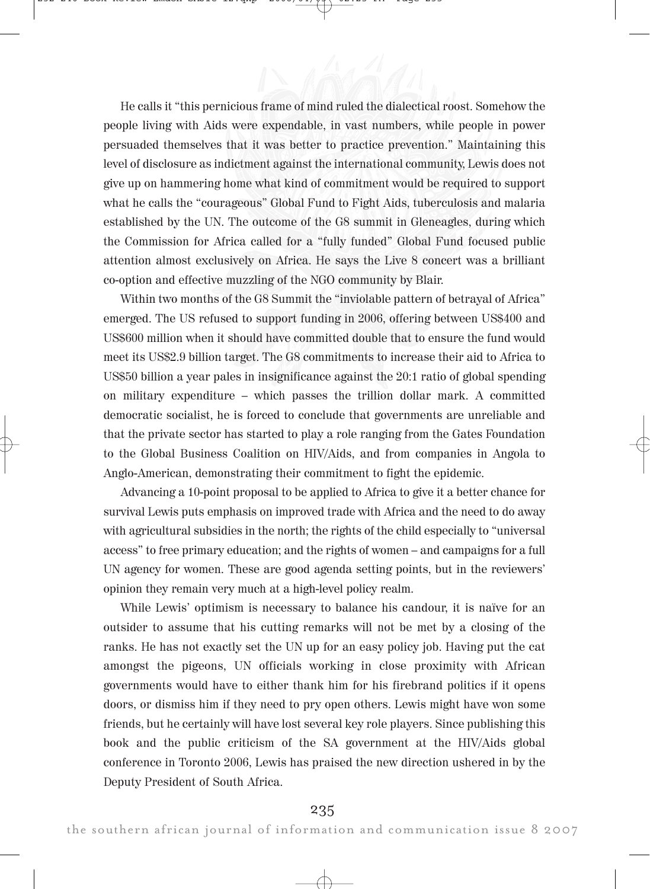He calls it "this pernicious frame of mind ruled the dialectical roost. Somehow the people living with Aids were expendable, in vast numbers, while people in power persuaded themselves that it was better to practice prevention." Maintaining this level of disclosure as indictment against the international community, Lewis does not give up on hammering home what kind of commitment would be required to support what he calls the "courageous" Global Fund to Fight Aids, tuberculosis and malaria established by the UN. The outcome of the G8 summit in Gleneagles, during which the Commission for Africa called for a "fully funded" Global Fund focused public attention almost exclusively on Africa. He says the Live 8 concert was a brilliant co-option and effective muzzling of the NGO community by Blair.

Within two months of the G8 Summit the "inviolable pattern of betrayal of Africa" emerged. The US refused to support funding in 2006, offering between US\$400 and US\$600 million when it should have committed double that to ensure the fund would meet its US\$2.9 billion target. The G8 commitments to increase their aid to Africa to US\$50 billion a year pales in insignificance against the 20:1 ratio of global spending on military expenditure – which passes the trillion dollar mark. A committed democratic socialist, he is forced to conclude that governments are unreliable and that the private sector has started to play a role ranging from the Gates Foundation to the Global Business Coalition on HIV/Aids, and from companies in Angola to Anglo-American, demonstrating their commitment to fight the epidemic.

Advancing a 10-point proposal to be applied to Africa to give it a better chance for survival Lewis puts emphasis on improved trade with Africa and the need to do away with agricultural subsidies in the north; the rights of the child especially to "universal access" to free primary education; and the rights of women – and campaigns for a full UN agency for women. These are good agenda setting points, but in the reviewers' opinion they remain very much at a high-level policy realm.

While Lewis' optimism is necessary to balance his candour, it is naïve for an outsider to assume that his cutting remarks will not be met by a closing of the ranks. He has not exactly set the UN up for an easy policy job. Having put the cat amongst the pigeons, UN officials working in close proximity with African governments would have to either thank him for his firebrand politics if it opens doors, or dismiss him if they need to pry open others. Lewis might have won some friends, but he certainly will have lost several key role players. Since publishing this book and the public criticism of the SA government at the HIV/Aids global conference in Toronto 2006, Lewis has praised the new direction ushered in by the Deputy President of South Africa.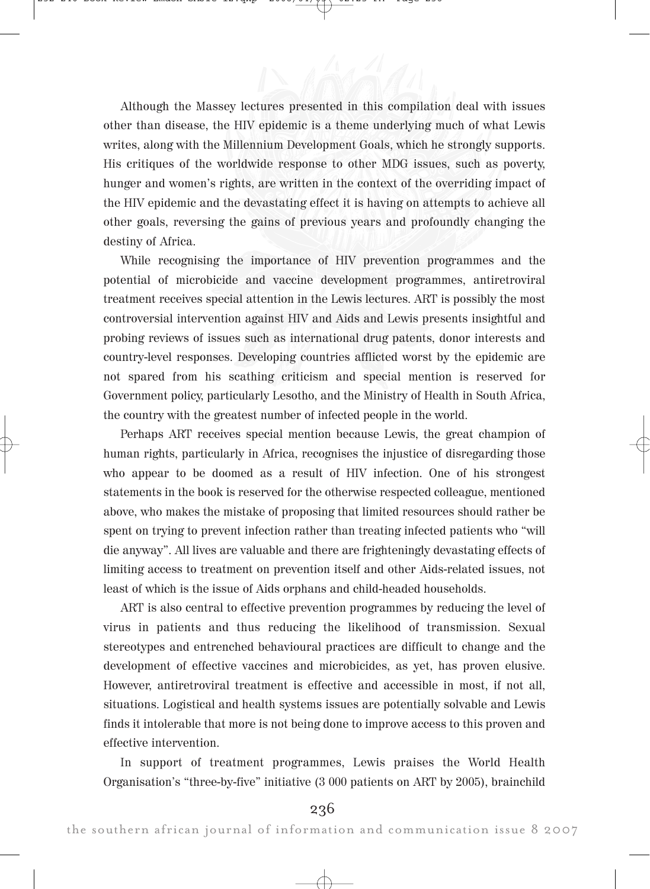Although the Massey lectures presented in this compilation deal with issues other than disease, the HIV epidemic is a theme underlying much of what Lewis writes, along with the Millennium Development Goals, which he strongly supports. His critiques of the worldwide response to other MDG issues, such as poverty, hunger and women's rights, are written in the context of the overriding impact of the HIV epidemic and the devastating effect it is having on attempts to achieve all other goals, reversing the gains of previous years and profoundly changing the destiny of Africa.

While recognising the importance of HIV prevention programmes and the potential of microbicide and vaccine development programmes, antiretroviral treatment receives special attention in the Lewis lectures. ART is possibly the most controversial intervention against HIV and Aids and Lewis presents insightful and probing reviews of issues such as international drug patents, donor interests and country-level responses. Developing countries afflicted worst by the epidemic are not spared from his scathing criticism and special mention is reserved for Government policy, particularly Lesotho, and the Ministry of Health in South Africa, the country with the greatest number of infected people in the world.

Perhaps ART receives special mention because Lewis, the great champion of human rights, particularly in Africa, recognises the injustice of disregarding those who appear to be doomed as a result of HIV infection. One of his strongest statements in the book is reserved for the otherwise respected colleague, mentioned above, who makes the mistake of proposing that limited resources should rather be spent on trying to prevent infection rather than treating infected patients who "will die anyway". All lives are valuable and there are frighteningly devastating effects of limiting access to treatment on prevention itself and other Aids-related issues, not least of which is the issue of Aids orphans and child-headed households.

ART is also central to effective prevention programmes by reducing the level of virus in patients and thus reducing the likelihood of transmission. Sexual stereotypes and entrenched behavioural practices are difficult to change and the development of effective vaccines and microbicides, as yet, has proven elusive. However, antiretroviral treatment is effective and accessible in most, if not all, situations. Logistical and health systems issues are potentially solvable and Lewis finds it intolerable that more is not being done to improve access to this proven and effective intervention.

In support of treatment programmes, Lewis praises the World Health Organisation's "three-by-five" initiative (3 000 patients on ART by 2005), brainchild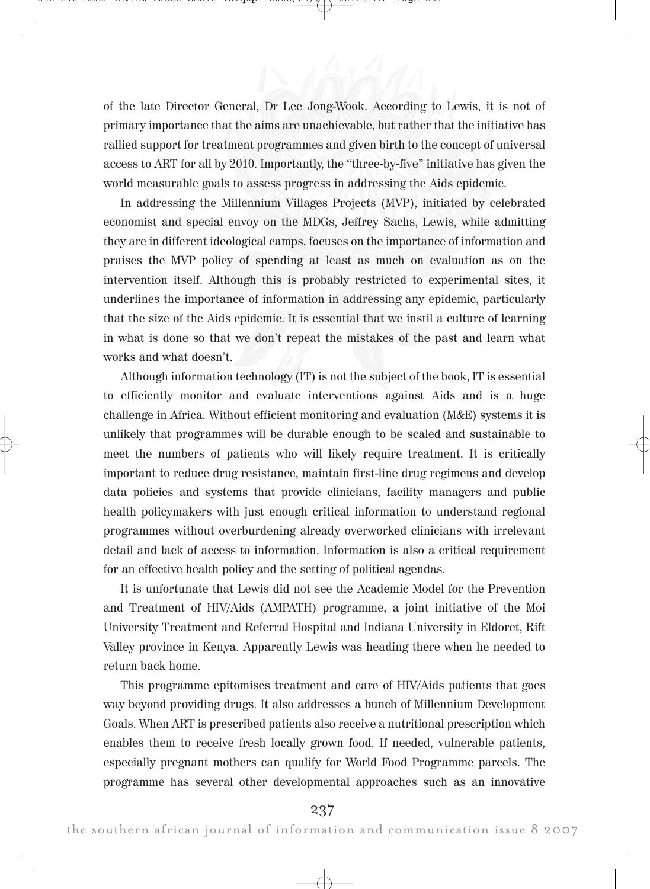of the late Director General, Dr Lee Jong-Wook. According to Lewis, it is not of primary importance that the aims are unachievable, but rather that the initiative has rallied support for treatment programmes and given birth to the concept of universal access to ART for all by 2010. Importantly, the "three-by-five" initiative has given the world measurable goals to assess progress in addressing the Aids epidemic.

In addressing the Millennium Villages Projects (MVP), initiated by celebrated economist and special envoy on the MDGs, Jeffrey Sachs, Lewis, while admitting they are in different ideological camps, focuses on the importance of information and praises the MVP policy of spending at least as much on evaluation as on the intervention itself. Although this is probably restricted to experimental sites, it underlines the importance of information in addressing any epidemic, particularly that the size of the Aids epidemic. It is essential that we instil a culture of learning in what is done so that we don't repeat the mistakes of the past and learn what works and what doesn't.

Although information technology (IT) is not the subject of the book, IT is essential to efficiently monitor and evaluate interventions against Aids and is a huge challenge in Africa. Without efficient monitoring and evaluation (M&E) systems it is unlikely that programmes will be durable enough to be scaled and sustainable to meet the numbers of patients who will likely require treatment. It is critically important to reduce drug resistance, maintain first-line drug regimens and develop data policies and systems that provide clinicians, facility managers and public health policymakers with just enough critical information to understand regional programmes without overburdening already overworked clinicians with irrelevant detail and lack of access to information. Information is also a critical requirement for an effective health policy and the setting of political agendas.

It is unfortunate that Lewis did not see the Academic Model for the Prevention and Treatment of HIV/Aids (AMPATH) programme, a joint initiative of the Moi University Treatment and Referral Hospital and Indiana University in Eldoret, Rift Valley province in Kenya. Apparently Lewis was heading there when he needed to return back home.

This programme epitomises treatment and care of HIV/Aids patients that goes way beyond providing drugs. It also addresses a bunch of Millennium Development Goals. When ART is prescribed patients also receive a nutritional prescription which enables them to receive fresh locally grown food. If needed, vulnerable patients, especially pregnant mothers can qualify for World Food Programme parcels. The programme has several other developmental approaches such as an innovative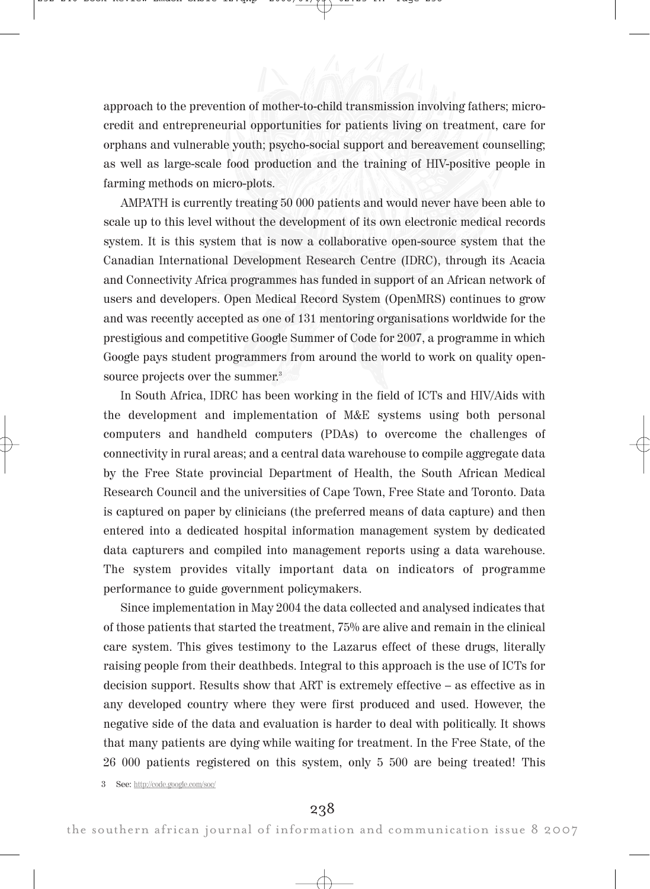approach to the prevention of mother-to-child transmission involving fathers; microcredit and entrepreneurial opportunities for patients living on treatment, care for orphans and vulnerable youth; psycho-social support and bereavement counselling; as well as large-scale food production and the training of HIV-positive people in farming methods on micro-plots.

AMPATH is currently treating 50 000 patients and would never have been able to scale up to this level without the development of its own electronic medical records system. It is this system that is now a collaborative open-source system that the Canadian International Development Research Centre (IDRC), through its Acacia and Connectivity Africa programmes has funded in support of an African network of users and developers. Open Medical Record System (OpenMRS) continues to grow and was recently accepted as one of 131 mentoring organisations worldwide for the prestigious and competitive Google Summer of Code for 2007, a programme in which Google pays student programmers from around the world to work on quality opensource projects over the summer. 3

In South Africa, IDRC has been working in the field of ICTs and HIV/Aids with the development and implementation of M&E systems using both personal computers and handheld computers (PDAs) to overcome the challenges of connectivity in rural areas; and a central data warehouse to compile aggregate data by the Free State provincial Department of Health, the South African Medical Research Council and the universities of Cape Town, Free State and Toronto. Data is captured on paper by clinicians (the preferred means of data capture) and then entered into a dedicated hospital information management system by dedicated data capturers and compiled into management reports using a data warehouse. The system provides vitally important data on indicators of programme performance to guide government policymakers.

Since implementation in May 2004 the data collected and analysed indicates that of those patients that started the treatment, 75% are alive and remain in the clinical care system. This gives testimony to the Lazarus effect of these drugs, literally raising people from their deathbeds. Integral to this approach is the use of ICTs for decision support. Results show that ART is extremely effective – as effective as in any developed country where they were first produced and used. However, the negative side of the data and evaluation is harder to deal with politically. It shows that many patients are dying while waiting for treatment. In the Free State, of the 26 000 patients registered on this system, only 5 500 are being treated! This

3 See: http://code.google.com/soc/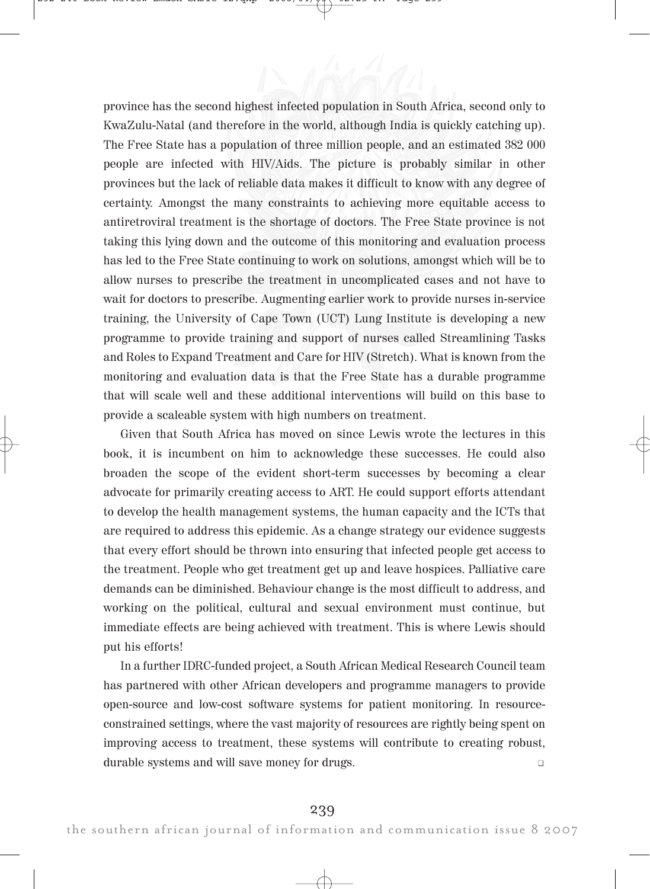province has the second highest infected population in South Africa, second only to KwaZulu-Natal (and therefore in the world, although India is quickly catching up). The Free State has a population of three million people, and an estimated 382 000 people are infected with HIV/Aids. The picture is probably similar in other provinces but the lack of reliable data makes it difficult to know with any degree of certainty. Amongst the many constraints to achieving more equitable access to antiretroviral treatment is the shortage of doctors. The Free State province is not taking this lying down and the outcome of this monitoring and evaluation process has led to the Free State continuing to work on solutions, amongst which will be to allow nurses to prescribe the treatment in uncomplicated cases and not have to wait for doctors to prescribe. Augmenting earlier work to provide nurses in-service training, the University of Cape Town (UCT) Lung Institute is developing a new programme to provide training and support of nurses called Streamlining Tasks and Roles to Expand Treatment and Care for HIV (Stretch). What is known from the monitoring and evaluation data is that the Free State has a durable programme that will scale well and these additional interventions will build on this base to provide a scaleable system with high numbers on treatment.

Given that South Africa has moved on since Lewis wrote the lectures in this book, it is incumbent on him to acknowledge these successes. He could also broaden the scope of the evident short-term successes by becoming a clear advocate for primarily creating access to ART. He could support efforts attendant to develop the health management systems, the human capacity and the ICTs that are required to address this epidemic. As a change strategy our evidence suggests that every effort should be thrown into ensuring that infected people get access to the treatment. People who get treatment get up and leave hospices. Palliative care demands can be diminished. Behaviour change is the most difficult to address, and working on the political, cultural and sexual environment must continue, but immediate effects are being achieved with treatment. This is where Lewis should put his efforts!

In a further IDRC-funded project, a South African Medical Research Council team has partnered with other African developers and programme managers to provide open-source and low-cost software systems for patient monitoring. In resourceconstrained settings, where the vast majority of resources are rightly being spent on improving access to treatment, these systems will contribute to creating robust, durable systems and will save money for drugs.